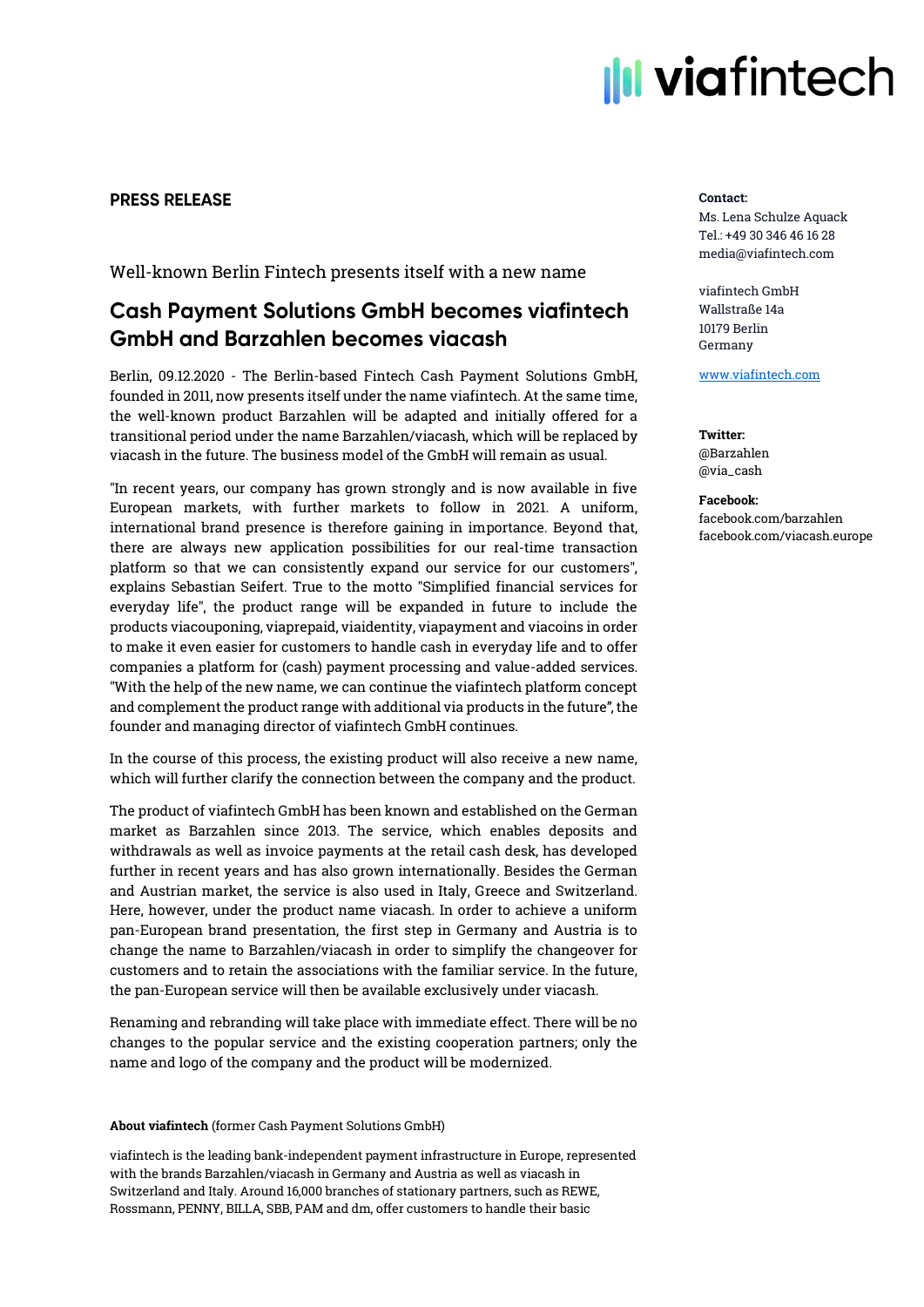# **III viafintech**

# **PRESS RELEASE**

Well-known Berlin Fintech presents itself with a new name

# **Cash Payment Solutions GmbH becomes viafintech GmbH and Barzahlen becomes viacash**

Berlin, 09.12.2020 - The Berlin-based Fintech Cash Payment Solutions GmbH, founded in 2011, now presents itself under the name viafintech. At the same time, the well-known product Barzahlen will be adapted and initially offered for a transitional period under the name Barzahlen/viacash, which will be replaced by viacash in the future. The business model of the GmbH will remain as usual.

"In recent years, our company has grown strongly and is now available in five European markets, with further markets to follow in 2021. A uniform, international brand presence is therefore gaining in importance. Beyond that, there are always new application possibilities for our real-time transaction platform so that we can consistently expand our service for our customers", explains Sebastian Seifert. True to the motto "Simplified financial services for everyday life", the product range will be expanded in future to include the products viacouponing, viaprepaid, viaidentity, viapayment and viacoins in order to make it even easier for customers to handle cash in everyday life and to offer companies a platform for (cash) payment processing and value-added services. "With the help of the new name, we can continue the viafintech platform concept and complement the product range with additional via products in the future", the founder and managing director of viafintech GmbH continues.

In the course of this process, the existing product will also receive a new name, which will further clarify the connection between the company and the product.

The product of viafintech GmbH has been known and established on the German market as Barzahlen since 2013. The service, which enables deposits and withdrawals as well as invoice payments at the retail cash desk, has developed further in recent years and has also grown internationally. Besides the German and Austrian market, the service is also used in Italy, Greece and Switzerland. Here, however, under the product name viacash. In order to achieve a uniform pan-European brand presentation, the first step in Germany and Austria is to change the name to Barzahlen/viacash in order to simplify the changeover for customers and to retain the associations with the familiar service. In the future, the pan-European service will then be available exclusively under viacash.

Renaming and rebranding will take place with immediate effect. There will be no changes to the popular service and the existing cooperation partners; only the name and logo of the company and the product will be modernized.

## About viafintech (former Cash Payment Solutions GmbH)

viafintech is the leading bank-independent payment infrastructure in Europe, represented with the brands Barzahlen/viacash in Germany and Austria as well as viacash in Switzerland and Italy. Around 16,000 branches of stationary partners, such as REWE, Rossmann, PENNY, BILLA, SBB, PAM and dm, offer customers to handle their basic

#### Contact:

Ms. Lena Schulze Aquack Tel.: +49 30 346 46 16 28 media@viafintech.com

viafintech GmbH Wallstraße 14a 10179 Berlin Germany

[www.viafintech.com](http://www.viafintech.com/)

Twitter: @Barzahlen @via\_cash

Facebook: facebook.com/barzahlen facebook.com/viacash.europe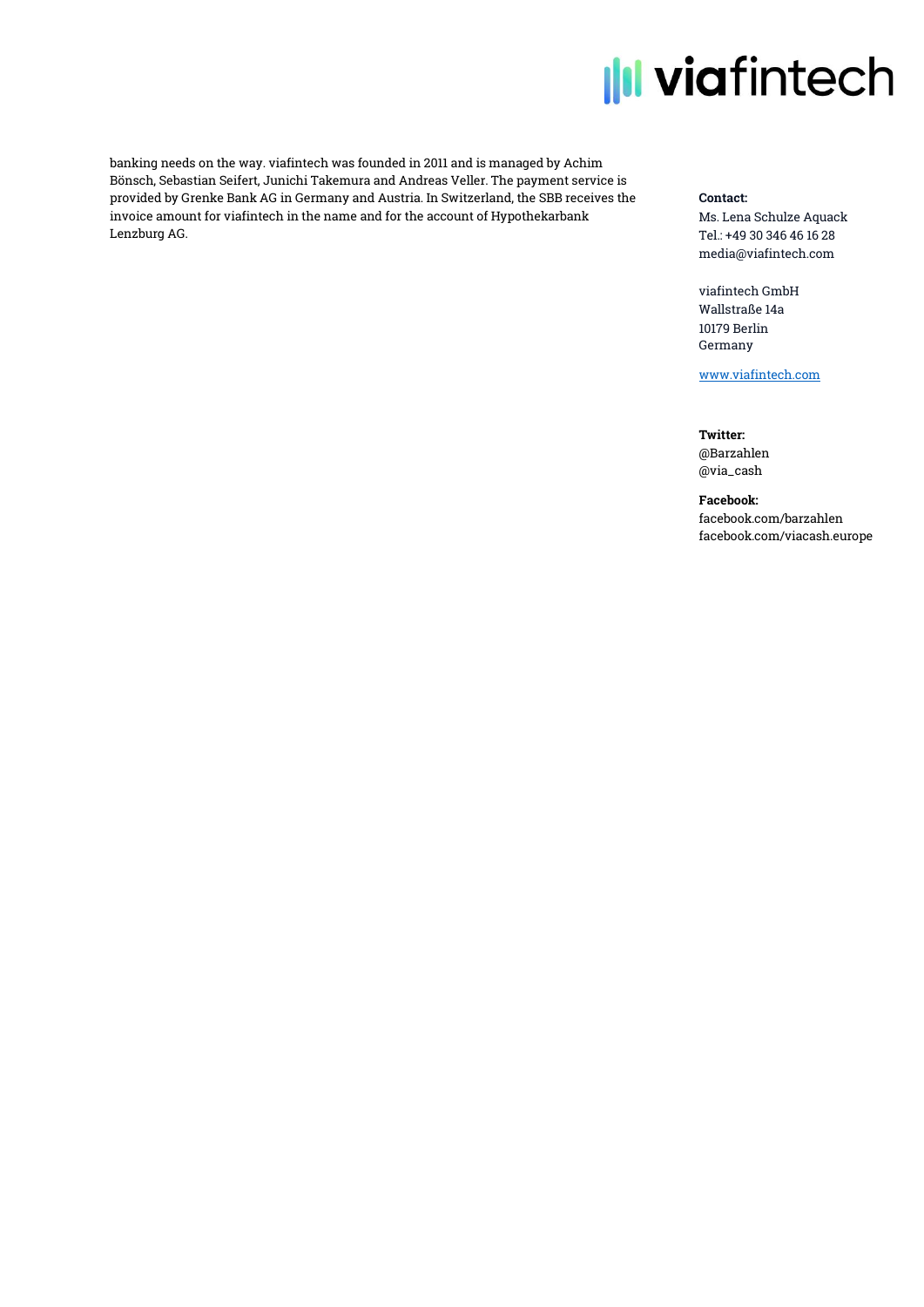# **Ill viafintech**

banking needs on the way. viafintech was founded in 2011 and is managed by Achim Bönsch, Sebastian Seifert, Junichi Takemura and Andreas Veller. The payment service is provided by Grenke Bank AG in Germany and Austria. In Switzerland, the SBB receives the invoice amount for viafintech in the name and for the account of Hypothekarbank Lenzburg AG.

### Contact:

Ms. Lena Schulze Aquack Tel.: +49 30 346 46 16 28 media@viafintech.com

viafintech GmbH Wallstraße 14a 10179 Berlin Germany

[www.viafintech.com](http://www.viafintech.com/)

Twitter: @Barzahlen @via\_cash

## Facebook:

facebook.com/barzahlen facebook.com/viacash.europe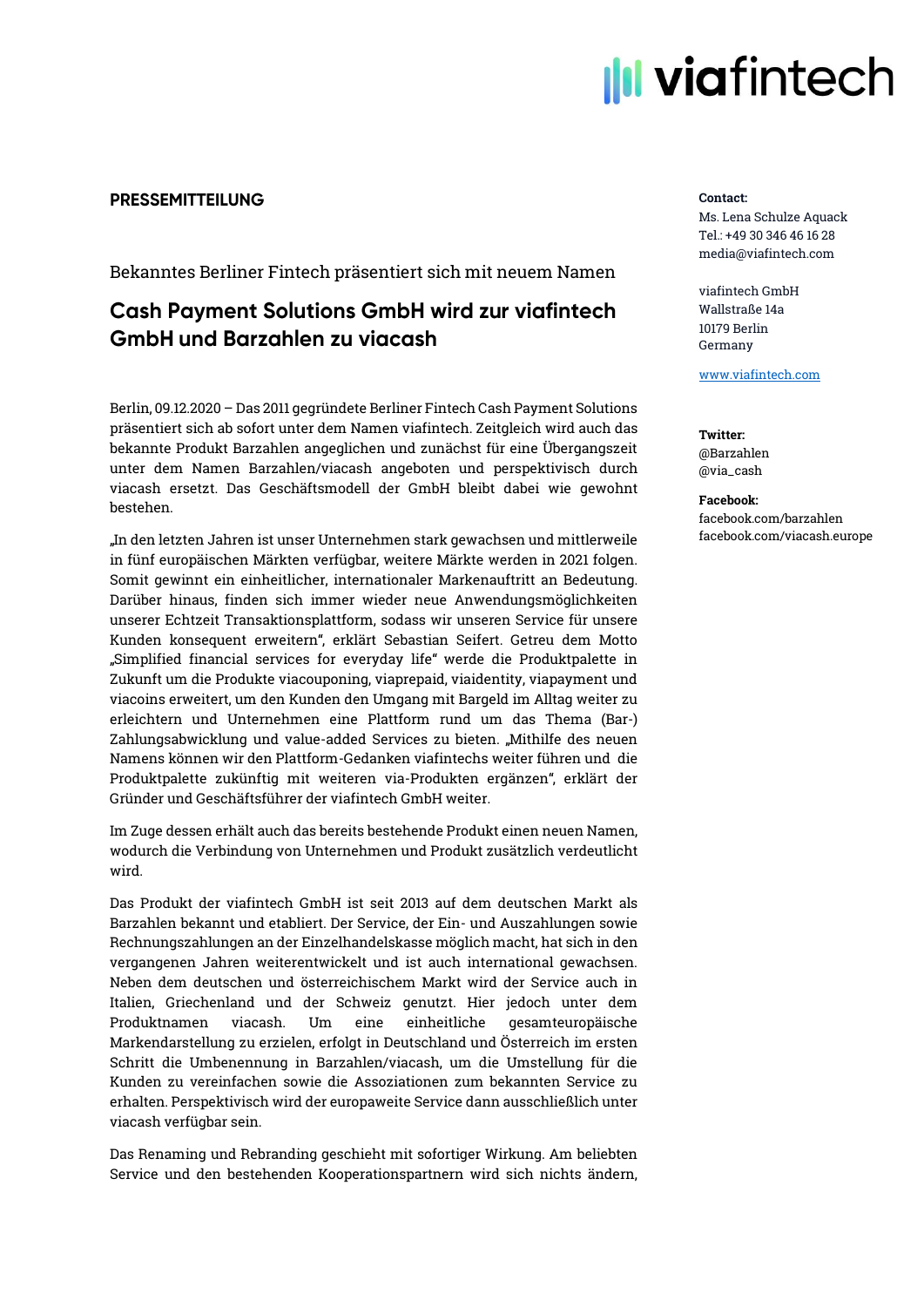

# **PRESSEMITTEILUNG**

Bekanntes Berliner Fintech präsentiert sich mit neuem Namen

# **Cash Payment Solutions GmbH wird zur viafintech GmbH und Barzahlen zu viacash**

Berlin, 09.12.2020 – Das 2011 gegründete Berliner Fintech Cash Payment Solutions präsentiert sich ab sofort unter dem Namen viafintech. Zeitgleich wird auch das bekannte Produkt Barzahlen angeglichen und zunächst für eine Übergangszeit unter dem Namen Barzahlen/viacash angeboten und perspektivisch durch viacash ersetzt. Das Geschäftsmodell der GmbH bleibt dabei wie gewohnt bestehen.

"In den letzten Jahren ist unser Unternehmen stark gewachsen und mittlerweile in fünf europäischen Märkten verfügbar, weitere Märkte werden in 2021 folgen. Somit gewinnt ein einheitlicher, internationaler Markenauftritt an Bedeutung. Darüber hinaus, finden sich immer wieder neue Anwendungsmöglichkeiten unserer Echtzeit Transaktionsplattform, sodass wir unseren Service für unsere Kunden konsequent erweitern", erklärt Sebastian Seifert. Getreu dem Motto "Simplified financial services for everyday life" werde die Produktpalette in Zukunft um die Produkte viacouponing, viaprepaid, viaidentity, viapayment und viacoins erweitert, um den Kunden den Umgang mit Bargeld im Alltag weiter zu erleichtern und Unternehmen eine Plattform rund um das Thema (Bar-) Zahlungsabwicklung und value-added Services zu bieten. "Mithilfe des neuen Namens können wir den Plattform-Gedanken viafintechs weiter führen und die Produktpalette zukünftig mit weiteren via-Produkten ergänzen", erklärt der Gründer und Geschäftsführer der viafintech GmbH weiter.

Im Zuge dessen erhält auch das bereits bestehende Produkt einen neuen Namen, wodurch die Verbindung von Unternehmen und Produkt zusätzlich verdeutlicht wird.

Das Produkt der viafintech GmbH ist seit 2013 auf dem deutschen Markt als Barzahlen bekannt und etabliert. Der Service, der Ein- und Auszahlungen sowie Rechnungszahlungen an der Einzelhandelskasse möglich macht, hat sich in den vergangenen Jahren weiterentwickelt und ist auch international gewachsen. Neben dem deutschen und österreichischem Markt wird der Service auch in Italien, Griechenland und der Schweiz genutzt. Hier jedoch unter dem Produktnamen viacash. Um eine einheitliche gesamteuropäische Markendarstellung zu erzielen, erfolgt in Deutschland und Österreich im ersten Schritt die Umbenennung in Barzahlen/viacash, um die Umstellung für die Kunden zu vereinfachen sowie die Assoziationen zum bekannten Service zu erhalten. Perspektivisch wird der europaweite Service dann ausschließlich unter viacash verfügbar sein.

Das Renaming und Rebranding geschieht mit sofortiger Wirkung. Am beliebten Service und den bestehenden Kooperationspartnern wird sich nichts ändern,

#### Contact:

Ms. Lena Schulze Aquack Tel.: +49 30 346 46 16 28 media@viafintech.com

viafintech GmbH Wallstraße 14a 10179 Berlin Germany

[www.viafintech.com](http://www.viafintech.com/)

Twitter: @Barzahlen @via\_cash

Facebook: facebook.com/barzahlen facebook.com/viacash.europe